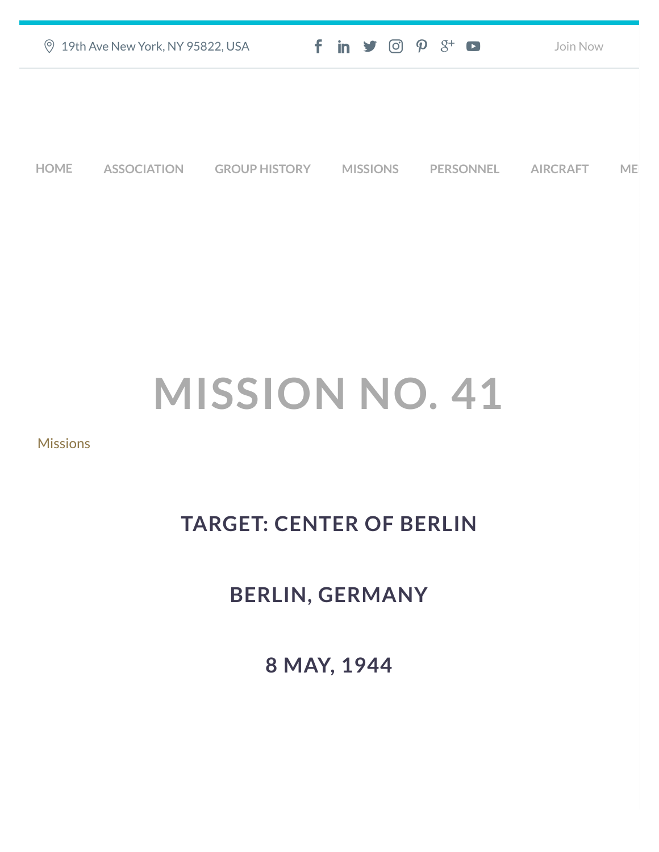| ◎ 19th Ave New York, NY 95822, USA | $f$ in $\mathcal{I}$ $\odot$ $\mathcal{P}$ $\mathcal{S}^+$ $\bullet$ | Join Now |
|------------------------------------|----------------------------------------------------------------------|----------|
|                                    |                                                                      |          |
|                                    |                                                                      |          |
|                                    |                                                                      |          |

**[HOME](https://457thbombgroupassoc.org/)** [ASSOCIATION](https://457thbombgroupassoc.org/mission-no-41/#) [GROUP HISTORY](https://457thbombgroupassoc.org/mission-no-41/#) [MISSIONS](https://457thbombgroupassoc.org/mission-no-41/#) [PERSONNEL](https://457thbombgroupassoc.org/mission-no-41/#) [AIRCRAFT](https://457thbombgroupassoc.org/mission-no-41/#) [MED](https://457thbombgroupassoc.org/mission-no-41/#)

## **MISSION NO. 41**

## [Missions](https://457thbombgroupassoc.org/category/missions/)

## **TARGET: CENTER OF BERLIN**

## **BERLIN, GERMANY**

**8 MAY, 1944**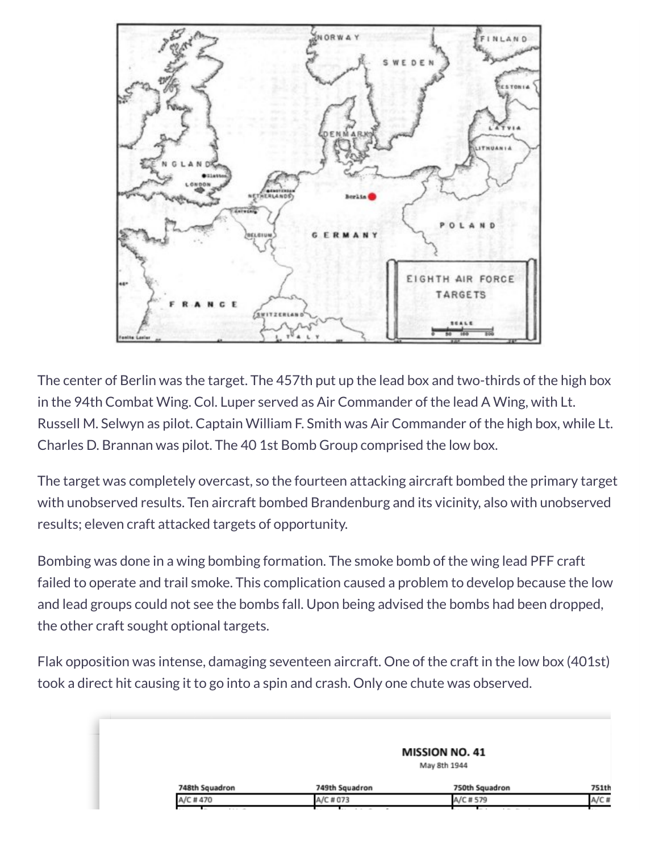

The center of Berlin was the target. The 457th put up the lead box and two-thirds of the high box in the 94th Combat Wing. Col. Luper served as Air Commander of the lead A Wing, with Lt. Russell M. Selwyn as pilot. Captain William F. Smith was Air Commander of the high box, while Lt. Charles D. Brannan was pilot. The 40 1st Bomb Group comprised the low box.

The target was completely overcast, so the fourteen attacking aircraft bombed the primary target with unobserved results. Ten aircraft bombed Brandenburg and its vicinity, also with unobserved results; eleven craft attacked targets of opportunity.

Bombing was done in a wing bombing formation. The smoke bomb of the wing lead PFF craft failed to operate and trail smoke. This complication caused a problem to develop because the low and lead groups could not see the bombs fall. Upon being advised the bombs had been dropped, the other craft sought optional targets.

Flak opposition was intense, damaging seventeen aircraft. One of the craft in the low box (401st) took a direct hit causing it to go into a spin and crash. Only one chute was observed.

|                |                | <b>MISSION NO. 41</b> |       |
|----------------|----------------|-----------------------|-------|
|                |                | May 8th 1944          |       |
| 748th Squadron | 749th Squadron | 750th Squadron        | 751th |
| A/C #470       | A/C # 073      | A/C # 579             | A/C # |
| .              | $\sim$         | $\sim$                |       |